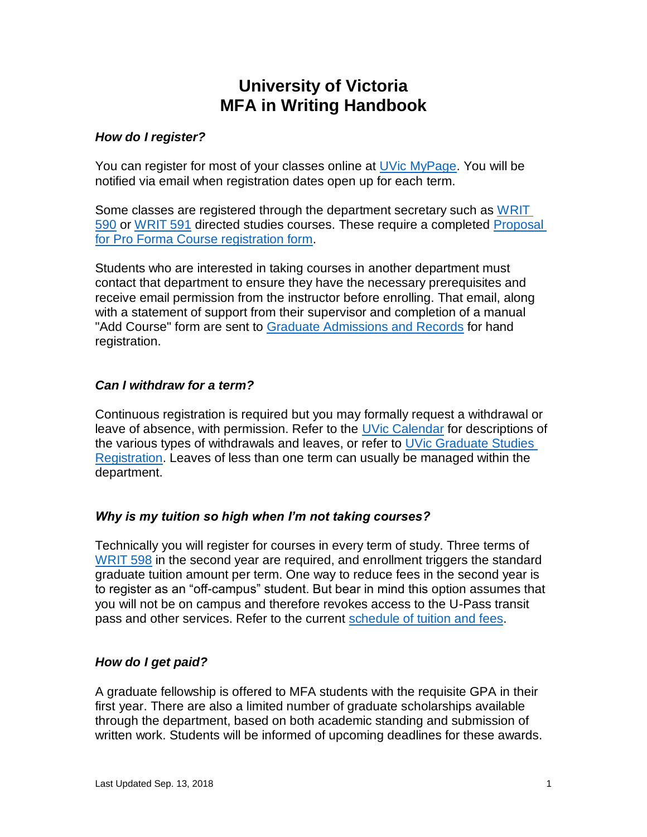# **University of Victoria MFA in Writing Handbook**

#### *How do I register?*

You can register for most of your classes online at [UVic MyPage. You will](https://www.uvic.ca/mypage/) be notified via email when registration dates open up for each term.

Some classes are registered through the department secretary such as [WRIT](https://web.uvic.ca/calendar/CDs/WRIT/590.html)  [590](https://web.uvic.ca/calendar/CDs/WRIT/590.html) [or](https://web.uvic.ca/calendar/CDs/WRIT/590.html) [WRIT 591](https://web.uvic.ca/calendar/CDs/WRIT/591.html) [directe](https://web.uvic.ca/calendar/CDs/WRIT/591.html)d studies courses. These require a completed [Proposal](https://www.uvic.ca/graduatestudies/assets/docs/docs/forms/ProFormaregform.pdf)  [for Pro Forma Course registration form.](https://www.uvic.ca/graduatestudies/assets/docs/docs/forms/ProFormaregform.pdf)

[Students who are interested in taking course](https://www.uvic.ca/graduatestudies/assets/docs/docs/forms/ProFormaregform.pdf)s in another department must contact that department to ensure they have the necessary prerequisites and receive email permission from the instructor before enrolling. That email, along with a statement of support from their supervisor and completion of a manual "Add Course" form are sent to [Graduate Admissions and Records](https://www.uvic.ca/registrar/) [for hand](https://www.uvic.ca/registrar/) [registration.](https://www.uvic.ca/registrar/)

### *[Can I](https://www.uvic.ca/registrar/) withdraw for a term?*

Continuous registration is required but you may formally request a withdrawal or leave of absence, with permission. Refer to the [UVic Calendar](https://web.uvic.ca/calendar/grad/registration/leaves.html) for descriptions of the various types of withdrawals and leaves, or refer to [UVic Graduate Studies](http://www.uvic.ca/graduatestudies/admissions/registration/)  [Registration.](http://www.uvic.ca/graduatestudies/admissions/registration/) Leaves of less than one term can usually be managed within the department[.](http://www.uvic.ca/graduatestudies/admissions/registration/)

### *Why is my tuition so high when I'm not taking courses?*

Technically you will register for courses in every term of study. Three terms of [WRIT 598](https://web.uvic.ca/calendar/CDs/WRIT/598.html) in the second year are required, and enrollment triggers the standard graduate [tuition a](https://web.uvic.ca/calendar/CDs/WRIT/598.html)mount per term. One way to reduce fees in the second year is to register as an "off-campus" student. But bear in mind this option assumes that you will not be on campus and therefore revokes access to the U-Pass transit pass and other services. Refer to the current [schedule of tuition and fees.](http://www.uvic.ca/graduatestudies/finances/tuition/)

# *How do I get paid?*

[A graduate fellowshi](http://www.uvic.ca/graduatestudies/finances/tuition/)p is offered to MFA students with the requisite GPA in their first year. There are also a limited number of graduate scholarships available [throu](http://www.uvic.ca/graduatestudies/finances/tuition/)gh the department, based on both academic standing and submission of written work. Students will be informed of upcoming deadlines for these awards.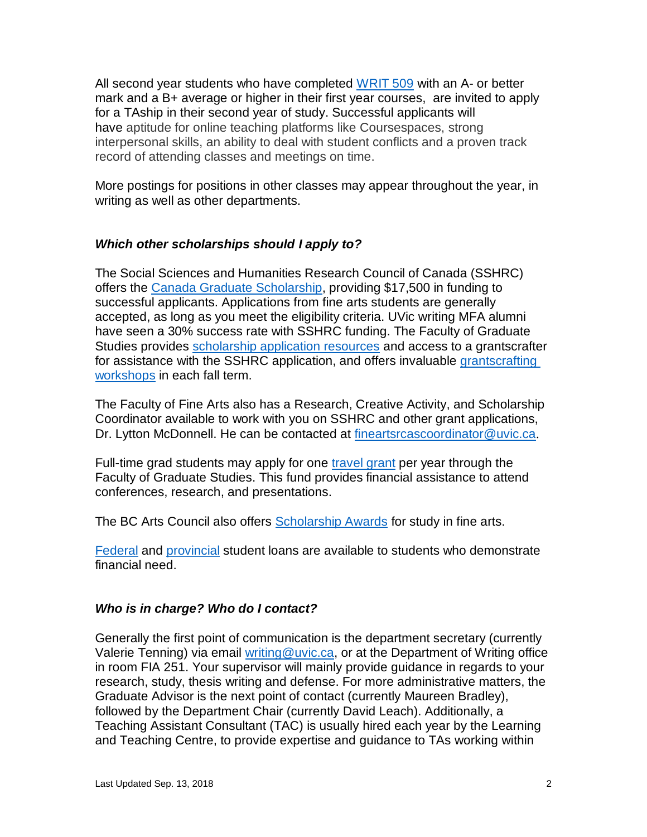All second year students who have completed [WRIT](https://web.uvic.ca/calendar/CDs/WRIT/509.html) 509 with an A- or better mark and a B+ average or higher in their first year courses, are invited to apply for a TAship in their second year of study. Successful applicants will have aptitude for online teaching platforms like Courses[paces,](https://web.uvic.ca/calendar/CDs/WRIT/509.html) strong interpersonal skills, an ability to deal with student conflicts and a proven track record of attending classes and meetings on time.

More postings for positions in other classes may appear throughout the year, in writing as well as other departments.

#### *Which other scholarships should I apply to?*

The Social Sciences and Humanities Research Council of Canada (SSHRC) offers the [Canada Graduate Scholarship,](http://www.nserc-crsng.gc.ca/Students-Etudiants/CGSHarmonization-HarmonizationBESC_eng.asp) providing \$17,500 in funding to successful applicants. Applications from fine arts students are generally accepted, as long as you meet the eligibility criteria. UVic writing MFA alumni have seen a 30% success rate with SSHRC funding. The Faculty of Graduate Studies provides [scholarship application resources](https://www.uvic.ca/graduatestudies/finances/financialaid/scholarshipapps/) [and access to a](http://www.nserc-crsng.gc.ca/Students-Etudiants/CGSHarmonization-HarmonizationBESC_eng.asp) grantscrafter for assistance with the SSHRC application, and offers invaluable [grantscrafting](https://www.uvic.ca/graduatestudies/finances/financialaid/externalawards/)  [workshops](https://www.uvic.ca/graduatestudies/finances/financialaid/externalawards/) in each fall term.

The Faculty of Fine Arts also has a Research, Cre[ative Activity, and Scholarship](https://www.uvic.ca/graduatestudies/finances/financialaid/scholarshipapps/)  [Co](https://www.uvic.ca/graduatestudies/finances/financialaid/scholarshipapps/)ordinator available to work with you on SSHRC and other grant applications, Dr. Lytton [McDonnell. He ca](https://www.uvic.ca/graduatestudies/finances/financialaid/externalawards/)n be contacted at [fineartsrcascoordinator@uvic.ca](mailto:fineartsrcascoordinator@uvic.ca).

[Full-](https://www.uvic.ca/graduatestudies/finances/financialaid/externalawards/)time grad students may apply for one [travel grant](http://www.uvic.ca/graduatestudies/finances/financialaid/travel/) per year through the Faculty of Graduate Studies. This fund provides financial assistance to attend conferences, research, and presentations.

[The BC Arts Council also offe](mailto:fineartsrcascoordinator@uvic.ca)rs [Scholarship Awards](http://www.bcartscouncil.ca/guidelines/artists/youth/scholarship_awards.html) f[or study in f](http://www.uvic.ca/graduatestudies/finances/financialaid/travel/)ine arts.

[Federal](https://www.canada.ca/en/services/jobs/education/student-financial-aid/student-loan.html) and [provincial](https://studentaidbc.ca/) student loans are available to students who demonstrate financial need.

### *Who is [in char](https://www.canada.ca/en/services/jobs/education/student-financial-aid/student-loan.html)ge? W[ho do I c](https://studentaidbc.ca/)ontact?*

Generally the first point of communication is the department secretary (currently Valerie Tenning) via email [writing@uvic.ca,](mailto:writing@uvic.ca) or at the Department of Writing office in room FIA 251. Your supervisor will mainly provide guidance in regards to your research, study, thesis writing and defense. For more administrative matters, the Graduate Advisor is the next point of contact (currently Maureen Bradley), followed by the Department Chair (currently David Leach). Additionally, a Teaching Assistant Consultant (TAC) is us[ually hired eac](mailto:writing@uvic.ca)h year by the Learning and Teaching Centre, to provide expertise and guidance to TAs working within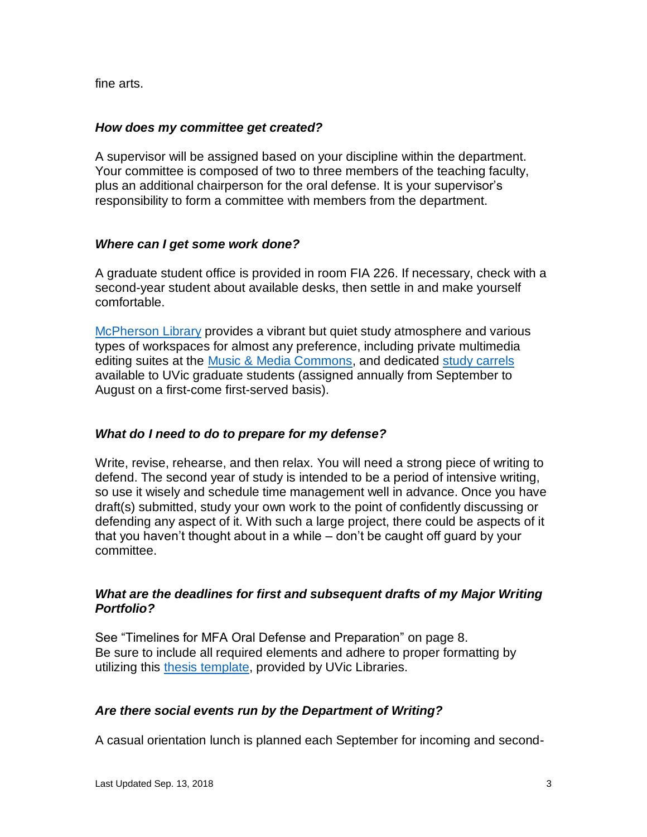fine arts.

#### *How does my committee get created?*

A supervisor will be assigned based on your discipline within the department. Your committee is composed of two to three members of the teaching faculty, plus an additional chairperson for the oral defense. It is your supervisor's responsibility to form a committee with members from the department.

#### *Where can I get some work done?*

A graduate student office is provided in room FIA 226. If necessary, check with a second-year student about available desks, then settle in and make yourself comfortable.

[McPherson Library](http://library.uvic.ca/) provides a vibrant but quiet study atmosphere and various types of workspaces for almost any preference, including private multimedia editing suites at the [Music & Media Commons,](http://library.uvic.ca/media/) and dedicated [study carrels](http://library.uvic.ca/policies/carrels.html) available to UVic graduate students (assigned annually from September to August on a first-come first-served basis).

### *What do I need to do to prepare for my defense?*

[Write, revis](http://library.uvic.ca/policies/carrels.html)e, rehearse, and then relax. You will need a strong piece of writing to defend. The second year of study is intended to be a period of intensive writing, so use it wisely and schedule time management well in advance. Once you have draft(s) submitted, study your own work to the point of confidently discussing or defending any aspect of it. With such a large project, there could be aspects of it that you haven't thought about in a while – don't be caught off guard by your committee.

### *What are the deadlines for first and subsequent drafts of my Major Writing Portfolio?*

See "Timelines for MFA Oral Defense and Preparation" on page 8. Be sure to include all required elements and adhere to proper formatting by utilizing this [thesis template,](http://library.uvic.ca/dig/uvthesis/wordstart.html) provided by UVic Libraries.

### *Are there social events run by the Department of Writing?*

A casual orientation lunch is planned each September for incoming and second-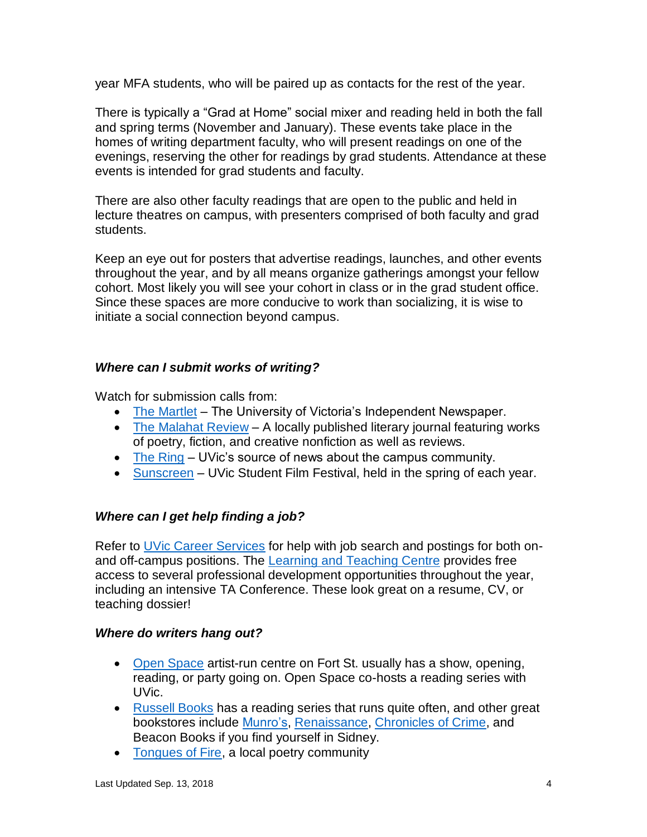year MFA students, who will be paired up as contacts for the rest of the year.

There is typically a "Grad at Home" social mixer and reading held in both the fall and spring terms (November and January). These events take place in the homes of writing department faculty, who will present readings on one of the evenings, reserving the other for readings by grad students. Attendance at these events is intended for grad students and faculty.

There are also other faculty readings that are open to the public and held in lecture theatres on campus, with presenters comprised of both faculty and grad students.

Keep an eye out for posters that advertise readings, launches, and other events throughout the year, and by all means organize gatherings amongst your fellow cohort. Most likely you will see your cohort in class or in the grad student office. Since these spaces are more conducive to work than socializing, it is wise to initiate a social connection beyond campus.

### *Where can I submit works of writing?*

Watch for submission calls from:

- [The Martlet](http://www.martlet.ca/) The University of Victoria's Independent Newspaper.
- [The Malahat Review](http://www.malahatreview.ca/) A locally published literary journal featuring works of poetry, fiction, and creative nonfiction as well as reviews.
- [The Ring](https://www.uvic.ca/news/publications/ring/index.php) UVic's source of news about the campus community.
- [Sunscreen](http://www.finearts.uvic.ca/sunscreen) UVic Student Film Festival, held in the spring of each year.

# *Where can I get [help finding](http://www.martlet.ca/) a job?*

Refer to [UVic Career Services](http://www.uvic.ca/coopandcareer/) [for help with](http://www.malahatreview.ca/) job search and postings for both onand off-campus positions. The [Learning and Teaching Centre](http://ltc.uvic.ca/) provides free access to sever[al profes](https://www.uvic.ca/news/publications/ring/index.php)sional development opportunities throughout the year, including an inte[nsive TA C](http://www.finearts.uvic.ca/sunscreen)onference. These look great on a resume, CV, or teaching dossier!

# *Where do writers hang out?*

- [Open Space](http://openspace.ca/) artist-run [centre on Fort St. u](http://www.uvic.ca/coopandcareer/)sually has a show, opening, reading, or party going on. Open Space co-hosts a rea[ding series wi](http://ltc.uvic.ca/)th [UVic.](http://ltc.uvic.ca/)
- [Russell Books](http://www.russellbooks.com/) has a reading series that runs quite often, and other great bookstores include [Munro's,](http://munrobooks.com/) [Renaissance,](http://www.renaissancebooks.ca/) [Chronicles of Crime,](http://www.chroniclesofcrime.com/) and Beacon Books if you find yourself in Sidney.
- [Tongues of Fire,](https://www.facebook.com/groups/2352786239/) a local poetry community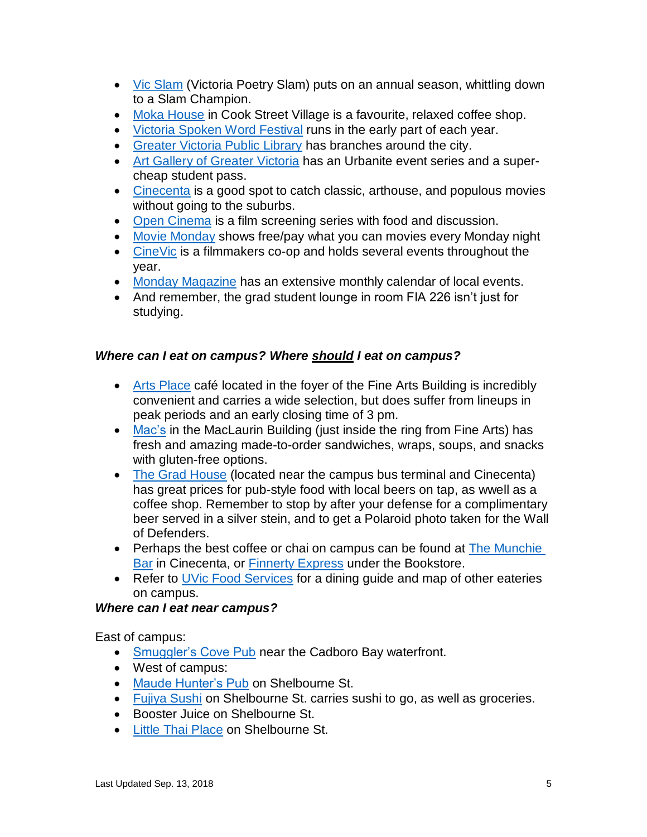- [Vic Slam](http://vicpoetryslam.blogspot.ca/) (Victoria Poetry Slam) puts on an annual season, whittling down to a Slam Champion.
- [Moka House](http://www.mokahouse.com/) [in Cook](http://openspace.ca/) Street Village is a favourite, relaxed coffee shop.
- [Victoria Spoken Word Festival](http://victoriaspokenwordfestival.com/) runs in the early part of each year.
- [Greater Victoria Public Library](http://gvpl.ca/) has branches around the city.
- [Art Gallery of Greater Victoria](http://aggv.ca/) has an Urbanite event series and a supercheap student pass.
- [Cinecenta](http://www.cinecenta.com/) is a good spot to catch classic, arthouse, and populous movies without going to [the suburbs.](https://www.facebook.com/groups/2352786239/)
- [Open Cinema](http://www.opencinema.ca/) is a film screening series with food and discussion.
- [Movie Monday](http://www.moviemonday.ca/) shows free/pay what you can movies every Monday night
- [CineVic](http://www.cinevic.ca/) is a [filmmakers](http://www.mokahouse.com/) co-op and holds several events throughout the year.
- [Monday Magazine](http://www.mondaymag.com/) has an ext[ensive monthly calendar of loca](http://gvpl.ca/)l events.
- And remember, the grad stud[ent lounge in room FIA 226 isn't](http://aggv.ca/) just for studying.

### *Where can I eat on [campus?](http://www.opencinema.ca/) Where should I eat on campus?*

- [Arts Place](http://www.uvic.ca/services/food/where/locations/artsplace/index.php) caf[é located in th](http://www.moviemonday.ca/)e foyer of the Fine Arts Building is incredibly convenient and carries a wide selection, but does suffer from lineups in peak periods and [an early closing](http://www.mondaymag.com/) time of 3 pm.
- [Mac's](http://www.uvic.ca/services/food/where/locations/macs/index.php) in the MacLaurin Building (just inside the ring from Fine Arts) has fresh and amazing made-to-order sandwiches, wraps, soups, and snacks with gluten-free options.
- [The Grad House](http://gss.uvic.ca/the-grad-house) (located near the campus bus terminal and Cinecenta) has great prices for pub-style food with local beers on tap, as wwell as a coffee shop. Remember to stop by after your defense for a complimentary beer served in a silver stein, and to get a Polaroid photo taken for the Wall of Defend[ers.](http://www.uvic.ca/services/food/where/locations/artsplace/index.php)
- Perhaps the best coffee or chai on campus can be found at [The Munchie](http://uvss.ca/munchie-bar/)  [Bar](http://uvss.ca/munchie-bar/) in Cinecenta, or [Finnerty Express](https://www.uvicbookstore.ca/info/cafe) under the Bookstore.
- Refer [to](http://www.uvic.ca/services/food/where/locations/macs/index.php) [UVic Food Services](http://www.uvic.ca/services/food/where/index.php) for a dining guide and map of other eateries on campus.

### *Where can I eat near campus?*

East of campus:

- [Smuggler's Cove Pub](http://smugglerscovepub.com/) near the Cadboro Bay waterfront.
- West of campus:
- [Maude Hunter's Pub](http://www.maudehunterspub.ca/) on Shelbourne St.
- [Fujiya Sushi](http://www.fujiya.ca/aboutFujiya/fujiyastores/victoria.asp) on Shelbourne St. carries sushi to go, as well as groceries.
- Bo[oster Juice on S](http://uvss.ca/munchie-bar/)helbourne St.
- [Little Thai Place](http://www.littlethai.com/) on Shelbou[rne St.](http://www.uvic.ca/services/food/where/index.php)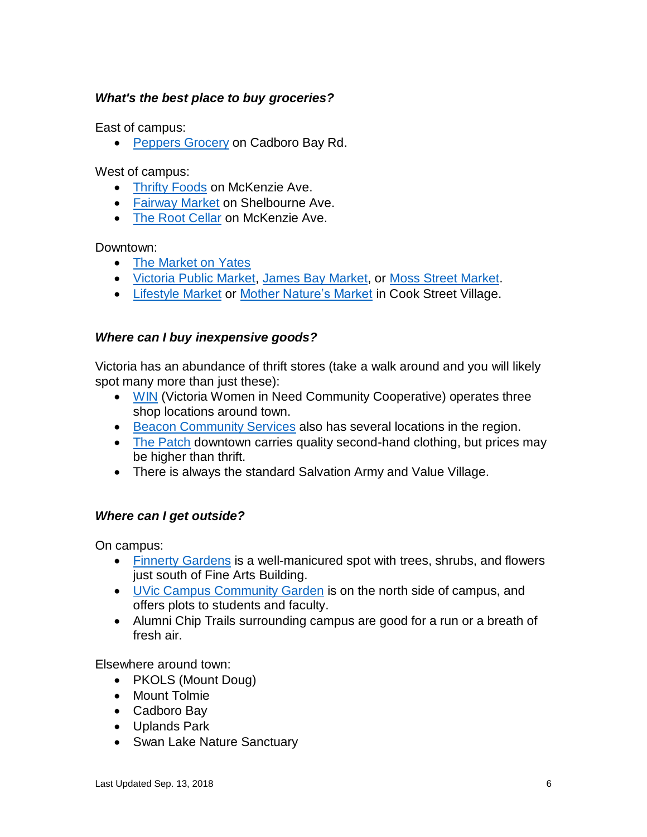# *What's the best place to buy groceries?*

East of campus:

• [Peppers Grocery](http://peppers-foods.com/) on Cadboro Bay Rd.

West of campus:

- [Thrifty Foods](http://www.thriftyfoods.com/) [on McKenz](http://www.fujiya.ca/aboutFujiya/fujiyastores/victoria.asp)ie Ave.
- [Fairway Market](http://www.fairwaymarkets.com/) [on Shelbourne Ave](http://www.littlethai.com/).
- [The Root Cellar](http://www.therootcellar.ca/) on McKenzie Ave.

Downtown:

- [The Market on Yates](http://www.themarketstores.com/)
- [Victoria Public Market,](http://www.victoriapublicmarket.com/) [James Bay Market,](http://jamesbaymarket.com/) or [Moss Street Market.](http://www.mossstreetmarket.com/)
- [Lifestyle Market](http://www.lifestylemarkets.com/) [or](http://peppers-foods.com/) [Mother Nature's Market](http://www.mothernaturesbc.ca/) in Cook Street Village.

### *Where can I buy in[expensive goo](http://www.thriftyfoods.com/)ds?*

Victoria has an abund[ance of thrift st](http://www.fairwaymarkets.com/)[ore](http://www.therootcellar.ca/)s (take a walk around and you will likely spot many more than just these):

- [WIN](http://www.womeninneed.ca/) (Victoria Women in Need Community Cooperative) operates three shop locations around town.
- [Beacon Community Services](http://www.beaconcs.ca/pages/thriftshops.html) also has several locations in the region.
- [The Patch](https://www.facebook.com/ThePatchVictoria) dow[ntown](http://www.lifestylemarkets.com/) [carries quality second-](http://www.victoriapublicmarket.com/)[hand clothing](http://jamesbaymarket.com/)[, but p](http://www.mothernaturesbc.ca/)r[ic](http://www.mossstreetmarket.com/)es may [be higher than th](http://www.mossstreetmarket.com/)rift.
- There is always the standard Salvation Army and Value Village.

# *Where can I get outside?*

On campus:

- [Finnerty Gardens](http://www.uvic.ca/finnerty/) is a well-manicured spot with trees, shrubs, and flowers just south of Fine Arts Building.
- [UVic Campus Community Garden](http://web.uvic.ca/~ccgarden/) [is on the north side](http://www.beaconcs.ca/pages/thriftshops.html) of campus, and offers plot[s to student](https://www.facebook.com/ThePatchVictoria)s and faculty.
- Alumni Chip Trails surrounding campus are good for a run or a breath of fresh air.

Elsewhere around town:

- PKOLS (Mount Doug)
- Mount Tolmie
- Cadboro Bay
- Uplands Park
- Swan Lake Nature Sanctuary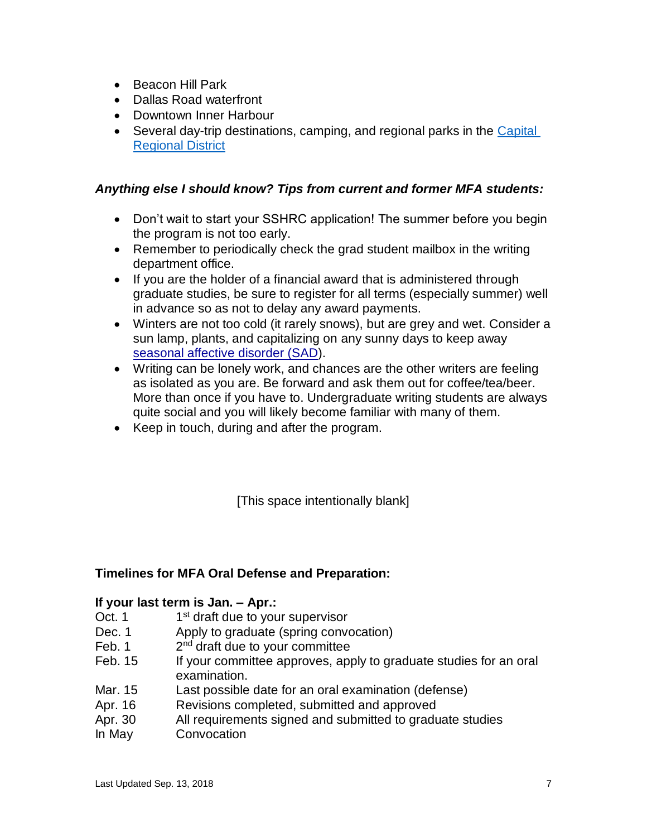- Beacon Hill Park
- Dallas Road waterfront
- Downtown Inner Harbour
- Several day-trip destinations, camping, and regional parks in the Capital [Regional District](https://www.crd.bc.ca/parks-recreation-culture/parks-trails/crd-regional-parks)

### *Anything else I should know? Tips from current and former MFA students:*

- Don't wait to start your SSHRC application! The summer before you begin the program is not too early.
- Remember to periodically check the grad student mailbox in the writing department office.
- If you are the holder of a financial award that is administered through graduate studies, be sure to register for all terms (especially summer) well in advance so as not to delay any award payments.
- Winters are not too cold (it rarely snows), but are grey and wet. Consider a sun lamp, plants, and capitalizing on any sunny days to keep away [seasonal affective disorder \(SAD\)](http://en.wikipedia.org/wiki/Seasonal_affective_disorder).
- [Writing can be lon](https://www.crd.bc.ca/parks-recreation-culture/parks-trails/crd-regional-parks)ely work, and chances are the other writers are feeling as isolated as you are. Be forward and ask them out for coffee/tea/beer. More than once if you have to. Undergraduate writing students are always quite social and you will likely become familiar with many of them.
- Keep in touch, during and after the program.

[This space intentionally blank]

### **Timelines for MFA Oral Defense and Preparation:**

### **If your last term is Jan. – Apr.:**

- $Oct. 1$ 1<sup>st</sup> draft due to your supervisor
- Dec. 1 Apply to graduate (spring convocation)
- $Feb. 1$ 2<sup>nd</sup> draft due to your committee
- Feb. 15 If your committee approves, apply to graduate studies for an oral examination.
- Mar. 15 Last possible date for an oral examination (defense)
- Apr. 16 Revisions completed, submitted and approved
- Apr. 30 All requirements signed and submitted to graduate studies
- In May Convocation